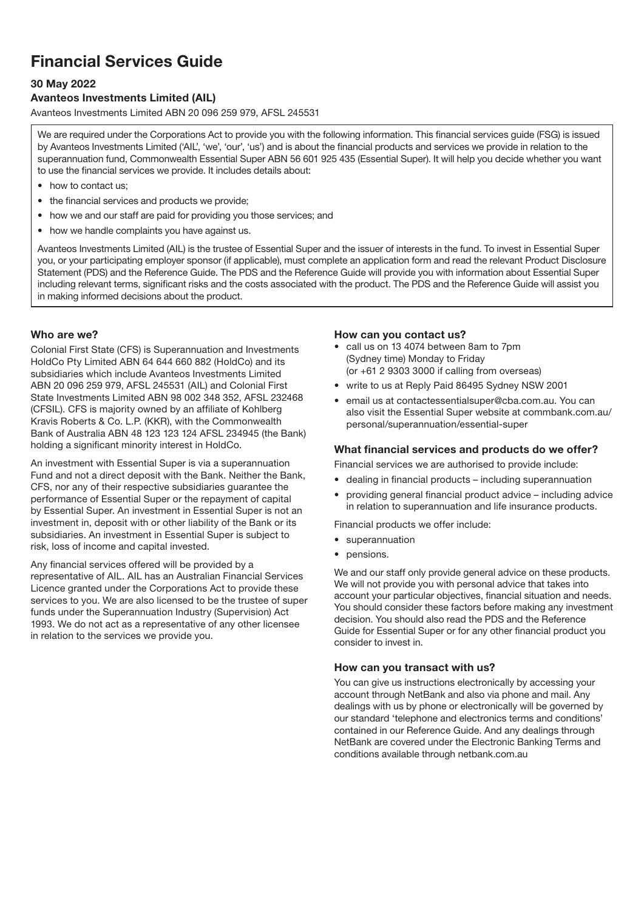# Financial Services Guide

# 30 May 2022

# Avanteos Investments Limited (AIL)

Avanteos Investments Limited ABN 20 096 259 979, AFSL 245531

We are required under the Corporations Act to provide you with the following information. This financial services guide (FSG) is issued by Avanteos Investments Limited ('AIL', 'we', 'our', 'us') and is about the financial products and services we provide in relation to the superannuation fund, Commonwealth Essential Super ABN 56 601 925 435 (Essential Super). It will help you decide whether you want to use the financial services we provide. It includes details about:

- how to contact us:
- the financial services and products we provide:
- how we and our staff are paid for providing you those services; and
- how we handle complaints you have against us.

Avanteos Investments Limited (AIL) is the trustee of Essential Super and the issuer of interests in the fund. To invest in Essential Super you, or your participating employer sponsor (if applicable), must complete an application form and read the relevant Product Disclosure Statement (PDS) and the Reference Guide. The PDS and the Reference Guide will provide you with information about Essential Super including relevant terms, significant risks and the costs associated with the product. The PDS and the Reference Guide will assist you in making informed decisions about the product.

## Who are we?

Colonial First State (CFS) is Superannuation and Investments HoldCo Pty Limited ABN 64 644 660 882 (HoldCo) and its subsidiaries which include Avanteos Investments Limited ABN 20 096 259 979, AFSL 245531 (AIL) and Colonial First State Investments Limited ABN 98 002 348 352, AFSL 232468 (CFSIL). CFS is majority owned by an affiliate of Kohlberg Kravis Roberts & Co. L.P. (KKR), with the Commonwealth Bank of Australia ABN 48 123 123 124 AFSL 234945 (the Bank) holding a significant minority interest in HoldCo.

An investment with Essential Super is via a superannuation Fund and not a direct deposit with the Bank. Neither the Bank, CFS, nor any of their respective subsidiaries guarantee the performance of Essential Super or the repayment of capital by Essential Super. An investment in Essential Super is not an investment in, deposit with or other liability of the Bank or its subsidiaries. An investment in Essential Super is subject to risk, loss of income and capital invested.

Any financial services offered will be provided by a representative of AIL. AIL has an Australian Financial Services Licence granted under the Corporations Act to provide these services to you. We are also licensed to be the trustee of super funds under the Superannuation Industry (Supervision) Act 1993. We do not act as a representative of any other licensee in relation to the services we provide you.

#### How can you contact us?

- call us on 13 4074 between 8am to 7pm (Sydney time) Monday to Friday (or +61 2 9303 3000 if calling from overseas)
- write to us at Reply Paid 86495 Sydney NSW 2001
- email us at [contactessentialsuper@cba.com.au](mailto:contactessentialsuper@cba.com.au). You can also visit the Essential Super website at [commbank.com.au/](http://commbank.com.au/personal/superannuation/essential-super) [personal/superannuation/essential-super](http://commbank.com.au/personal/superannuation/essential-super)

## What financial services and products do we offer?

Financial services we are authorised to provide include:

- dealing in financial products including superannuation
- providing general financial product advice including advice in relation to superannuation and life insurance products.

Financial products we offer include:

- superannuation
- pensions.

We and our staff only provide general advice on these products. We will not provide you with personal advice that takes into account your particular objectives, financial situation and needs. You should consider these factors before making any investment decision. You should also read the PDS and the Reference Guide for Essential Super or for any other financial product you consider to invest in.

#### How can you transact with us?

You can give us instructions electronically by accessing your account through NetBank and also via phone and mail. Any dealings with us by phone or electronically will be governed by our standard 'telephone and electronics terms and conditions' contained in our Reference Guide. And any dealings through NetBank are covered under the Electronic Banking Terms and conditions available through [netbank.com.au](http://netbank.com.au)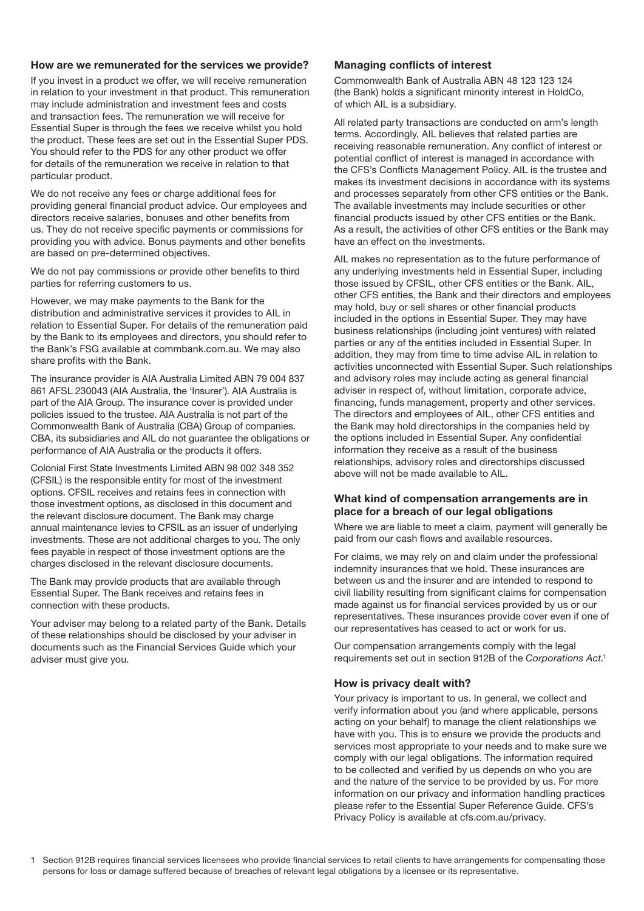#### How are we remunerated for the services we provide?

If you invest in a product we offer, we will receive remuneration in relation to your investment in that product. This remuneration may include administration and investment fees and costs and transaction fees. The remuneration we will receive for Essential Super is through the fees we receive whilst you hold the product. These fees are set out in the Essential Super PDS. You should refer to the PDS for any other product we offer for details of the remuneration we receive in relation to that particular product.

We do not receive any fees or charge additional fees for providing general financial product advice. Our employees and directors receive salaries, bonuses and other benefits from us. They do not receive specific payments or commissions for providing you with advice. Bonus payments and other benefits are based on pre-determined objectives.

We do not pay commissions or provide other benefits to third parties for referring customers to us.

However, we may make payments to the Bank for the distribution and administrative services it provides to AIL in relation to Essential Super. For details of the remuneration paid by the Bank to its employees and directors, you should refer to the Bank's FSG available at [commbank.com.au.](http://commbank.com.au) We may also share profits with the Bank.

The insurance provider is AIA Australia Limited ABN 79 004 837 861 AFSL 230043 (AIA Australia, the 'Insurer'). AIA Australia is part of the AIA Group. The insurance cover is provided under policies issued to the trustee. AIA Australia is not part of the Commonwealth Bank of Australia (CBA) Group of companies. CBA, its subsidiaries and AIL do not guarantee the obligations or performance of AIA Australia or the products it offers.

Colonial First State Investments Limited ABN 98 002 348 352 (CFSIL) is the responsible entity for most of the investment options. CFSIL receives and retains fees in connection with those investment options, as disclosed in this document and the relevant disclosure document. The Bank may charge annual maintenance levies to CFSIL as an issuer of underlying investments. These are not additional charges to you. The only fees payable in respect of those investment options are the charges disclosed in the relevant disclosure documents.

The Bank may provide products that are available through Essential Super. The Bank receives and retains fees in connection with these products.

Your adviser may belong to a related party of the Bank. Details of these relationships should be disclosed by your adviser in documents such as the Financial Services Guide which your adviser must give you.

## Managing conflicts of interest

Commonwealth Bank of Australia ABN 48 123 123 124 (the Bank) holds a significant minority interest in HoldCo, of which AIL is a subsidiary.

All related party transactions are conducted on arm's length terms. Accordingly, AIL believes that related parties are receiving reasonable remuneration. Any conflict of interest or potential conflict of interest is managed in accordance with the CFS's Conflicts Management Policy. AIL is the trustee and makes its investment decisions in accordance with its systems and processes separately from other CFS entities or the Bank. The available investments may include securities or other financial products issued by other CFS entities or the Bank. As a result, the activities of other CFS entities or the Bank may have an effect on the investments.

AIL makes no representation as to the future performance of any underlying investments held in Essential Super, including those issued by CFSIL, other CFS entities or the Bank. AIL, other CFS entities, the Bank and their directors and employees may hold, buy or sell shares or other financial products included in the options in Essential Super. They may have business relationships (including joint ventures) with related parties or any of the entities included in Essential Super. In addition, they may from time to time advise AIL in relation to activities unconnected with Essential Super. Such relationships and advisory roles may include acting as general financial adviser in respect of, without limitation, corporate advice, financing, funds management, property and other services. The directors and employees of AIL, other CFS entities and the Bank may hold directorships in the companies held by the options included in Essential Super. Any confidential information they receive as a result of the business relationships, advisory roles and directorships discussed above will not be made available to AIL.

#### What kind of compensation arrangements are in place for a breach of our legal obligations

Where we are liable to meet a claim, payment will generally be paid from our cash flows and available resources.

For claims, we may rely on and claim under the professional indemnity insurances that we hold. These insurances are between us and the insurer and are intended to respond to civil liability resulting from significant claims for compensation made against us for financial services provided by us or our representatives. These insurances provide cover even if one of our representatives has ceased to act or work for us.

Our compensation arrangements comply with the legal requirements set out in section 912B of the *Corporations Act*. 1

## How is privacy dealt with?

Your privacy is important to us. In general, we collect and verify information about you (and where applicable, persons acting on your behalf) to manage the client relationships we have with you. This is to ensure we provide the products and services most appropriate to your needs and to make sure we comply with our legal obligations. The information required to be collected and verified by us depends on who you are and the nature of the service to be provided by us. For more information on our privacy and information handling practices please refer to the Essential Super Reference Guide. CFS's Privacy Policy is available at [cfs.com.au/privacy.](http://cfs.com.au/privacy)